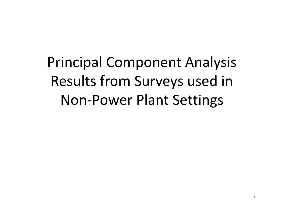Principal Component Analysis Results from Surveys used in Non-Power Plant Settings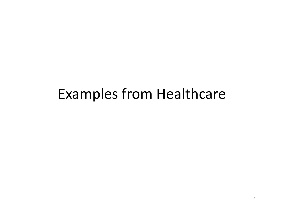#### Examples from Healthcare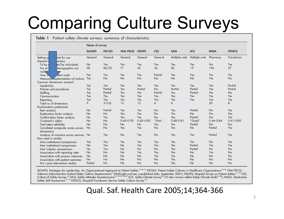# Comparing Culture Surveys

|                                      | Name of survey |              |                 |                |                |                |                |               |               |
|--------------------------------------|----------------|--------------|-----------------|----------------|----------------|----------------|----------------|---------------|---------------|
|                                      | <b>SLOAPS</b>  | <b>PSCHO</b> | <b>VHA PSCQ</b> | <b>HSOPS</b>   | <b>CSS</b>     | SAQ            | SCS            | <b>MSSA</b>   | <b>HTSSCS</b> |
| iate for use<br>Setting ap           | General        | General      | General         | General        | General        | Multiple units | Multiple units | Pharmacy      | Transfusion   |
| eristics<br>General                  |                |              |                 |                |                |                |                |               |               |
| ted by individuals<br>To be          | No             | Yes          | Yes             | Yes            | Yes            | Yes            | Yes            | No            | Yes           |
| No of<br>demographics not<br>inclu   | 58             | 82/32        | 71              | 42             | 34             | 60             | 19             | 194           | 27            |
| Likert scale<br>Uses 5               | Yes            | Yes          | Yes             | Yes            | Partial        | Yes            | Yes            | Yes           | Yes           |
| Measures implementation of actions   | Yes            | No           | No              | No             | No             | No             | No             | Yes           | No            |
| Common dimensions covered            |                |              |                 |                |                |                |                |               |               |
| Leadership                           | Yes            | Yes          | Yes             | Yes            | Yes            | Yes            | Yes            | Yes           | Partial       |
| Policies and procedures              | Yes            | Partial      | Yes             | Partial        | No             | Partial        | Partial        | Yes           | Partial       |
| Staffing                             | Yes            | Partial      | Yes             | Yes            | Partial        | Yes            | Partial        | Yes           | No            |
| Communication                        | Yes            | Yes          | Yes             | Yes            | Yes            | Yes            | Yes            | Yes           | Yes           |
| Reporting                            | Yes            | Yes          | Yes             | Yes            | Yes            | Yes            | Yes            | Yes           | Yes           |
| Total no of dimensions               | 9              | 5(16)        | 13              | 12             | $\overline{4}$ | 6              |                | 20            | 8             |
| Psychometrics performed              |                |              |                 |                |                |                |                |               |               |
| Item analysis                        | No             | Partial      | Yes             | Yes            | No             | Yes            | Partial        | No            | Yes           |
| Exploratory factor analysis          | No             | No           | Yes             | Yes            | No             | Yes            | No             | No            | Yes           |
| Confirmatory factor analysis         | No             | Yes          | Yes             | Yes            | No             | Yes            | Partial        | No            | Yes           |
| Cronbach's alpha                     | No             | No           | $0.45 - 0.90$   | $0.63 - 0.83$  | "Poor"         | $0.68 - 0.81$  | "Good"         | $0.44 - 0.84$ | $0.61 - 0.85$ |
| Test/retest reliability              | No             | No           | No              | N <sub>o</sub> | Yes            | Yes            | Partial        | <b>No</b>     | No            |
| Correlated composite scores across   | No             | No           | Yes             | Yes            | No             | Yes            | No             | Partial       | Yes           |
| dimensions                           |                |              |                 |                |                |                |                |               |               |
| Analysis of variance across services | No.            | Yes          | No              | Yes            | No             | Yes            | Yes            | Partial       | Yes           |
| How used in studies                  |                |              |                 |                |                |                |                |               |               |
| Intra institutional comparisons      | Yes            | Yes          | Yes             | Yes            | Yes            | Yes            | Yes            | <b>No</b>     | Yes           |
| Inter institutional comparisons      | No             | Yes          | No              | Yes            | Yes            | Yes            | Partial        | Yes           | Yes           |
| Inter industry comparisons           | No             | Yes          | No              | No             | No             | Yes            | Partial        | No            | No            |
| Association with reporting rates     | No             | No           | No              | Yes            | Yes            | Yes            | No             | Yes           | No            |
| Association with process measures    | No             | No           | No              | No             | Yes            | Yes            | No             | No            | No            |
| Association with patient outcomes    | No.            | No           | No              | No             | No             | Yes            | No             | No            | No            |
| Pre v post intervention studies      | Partial        | No           | No              | No             | No             | Yes            | No             | No            | No            |

SLOAPS, Strategies for Leadership: An Organizational Approach to Patient Safety,<sup>16 24 31</sup> PSCHO, Patient Safety Cultures in Healthcare Organizations;<sup>25 32</sup> VHA PSCQ, Veterans Administration Patient Safety Culture Questionnaire<sup>19</sup> (McKnight and Lee, unpublished data, September 2001); HSOPS, Hospital Survey on Patient Safety;<sup>21</sup> 33 CSS, Culture of Safety Survey;<sup>18</sup> SAQ, Safety Attitud

Qual. Saf. Health Care 2005;14;364-366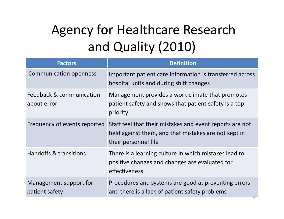# Agency for Healthcare Research and Quality (2010)

| <b>Factors</b>                           | <b>Definition</b>                                                                                                                        |
|------------------------------------------|------------------------------------------------------------------------------------------------------------------------------------------|
| <b>Communication openness</b>            | Important patient care information is transferred across<br>hospital units and during shift changes                                      |
| Feedback & communication<br>about error  | Management provides a work climate that promotes<br>patient safety and shows that patient safety is a top<br>priority                    |
| Frequency of events reported             | Staff feel that their mistakes and event reports are not<br>held against them, and that mistakes are not kept in<br>their personnel file |
| Handoffs & transitions                   | There is a learning culture in which mistakes lead to<br>positive changes and changes are evaluated for<br>effectiveness                 |
| Management support for<br>patient safety | Procedures and systems are good at preventing errors<br>and there is a lack of patient safety problems                                   |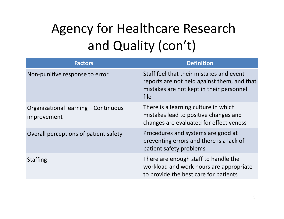# Agency for Healthcare Research and Quality (con't)

| <b>Factors</b>                                    | <b>Definition</b>                                                                                                                           |
|---------------------------------------------------|---------------------------------------------------------------------------------------------------------------------------------------------|
| Non-punitive response to error                    | Staff feel that their mistakes and event<br>reports are not held against them, and that<br>mistakes are not kept in their personnel<br>file |
| Organizational learning-Continuous<br>improvement | There is a learning culture in which<br>mistakes lead to positive changes and<br>changes are evaluated for effectiveness                    |
| Overall perceptions of patient safety             | Procedures and systems are good at<br>preventing errors and there is a lack of<br>patient safety problems                                   |
| <b>Staffing</b>                                   | There are enough staff to handle the<br>workload and work hours are appropriate<br>to provide the best care for patients                    |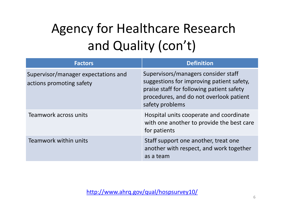# Agency for Healthcare Research and Quality (con't)

| <b>Factors</b>                                                  | <b>Definition</b>                                                                                                                                                                           |
|-----------------------------------------------------------------|---------------------------------------------------------------------------------------------------------------------------------------------------------------------------------------------|
| Supervisor/manager expectations and<br>actions promoting safety | Supervisors/managers consider staff<br>suggestions for improving patient safety,<br>praise staff for following patient safety<br>procedures, and do not overlook patient<br>safety problems |
| Teamwork across units                                           | Hospital units cooperate and coordinate<br>with one another to provide the best care<br>for patients                                                                                        |
| Teamwork within units                                           | Staff support one another, treat one<br>another with respect, and work together<br>as a team                                                                                                |

http://www.ahrq.gov/qual/hospsurvey10/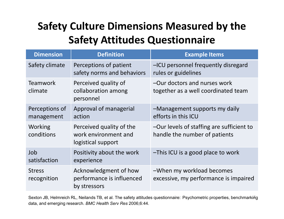#### **Safety Culture Dimensions Measured by the Safety Attitudes Questionnaire**

| <b>Dimension</b>             | <b>Definition</b>                                                      | <b>Example Items</b>                                                       |
|------------------------------|------------------------------------------------------------------------|----------------------------------------------------------------------------|
| Safety climate               | Perceptions of patient<br>safety norms and behaviors                   | -ICU personnel frequently disregard<br>rules or guidelines                 |
| <b>Teamwork</b><br>climate   | Perceived quality of<br>collaboration among<br>personnel               | -Our doctors and nurses work<br>together as a well coordinated team        |
| Perceptions of<br>management | Approval of managerial<br>action                                       | -Management supports my daily<br>efforts in this ICU                       |
| Working<br>conditions        | Perceived quality of the<br>work environment and<br>logistical support | -Our levels of staffing are sufficient to<br>handle the number of patients |
| Job<br>satisfaction          | Positivity about the work<br>experience                                | -This ICU is a good place to work                                          |
| <b>Stress</b><br>recognition | Acknowledgment of how<br>performance is influenced<br>by stressors     | -When my workload becomes<br>excessive, my performance is impaired         |

Sexton JB, Helmreich RL, Neilands TB, et al. The safety attitudes questionnaire: Psychometric properties, benchmarking data, and emerging research. *BMC Health Serv Res* 2006;6:44.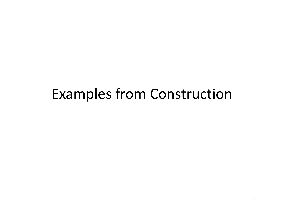#### Examples from Construction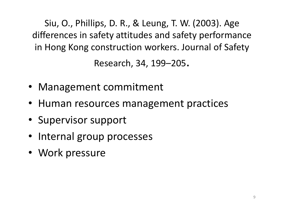Siu, O., Phillips, D. R., & Leung, T. W. (2003). Age differences in safety attitudes and safety performance in Hong Kong construction workers. Journal of Safety

Research, 34, 199–205.

- Management commitment
- Human resources management practices
- Supervisor support
- Internal group processes
- Work pressure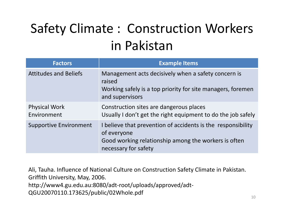## Safety Climate : Construction Workers in Pakistan

| <b>Factors</b>                      | <b>Example Items</b>                                                                                                                                        |
|-------------------------------------|-------------------------------------------------------------------------------------------------------------------------------------------------------------|
| <b>Attitudes and Beliefs</b>        | Management acts decisively when a safety concern is<br>raised<br>Working safely is a top priority for site managers, foremen<br>and supervisors             |
| <b>Physical Work</b><br>Environment | Construction sites are dangerous places<br>Usually I don't get the right equipment to do the job safely                                                     |
| <b>Supportive Environment</b>       | I believe that prevention of accidents is the responsibility<br>of everyone<br>Good working relationship among the workers is often<br>necessary for safety |

Ali, Tauha. Influence of National Culture on Construction Safety Climate in Pakistan. Griffith University, May, 2006. http://www4.gu.edu.au:8080/adt-root/uploads/approved/adt-QGU20070110.173625/public/02Whole.pdf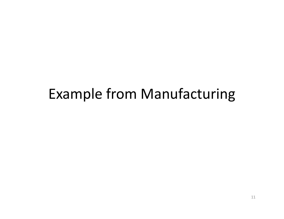#### Example from Manufacturing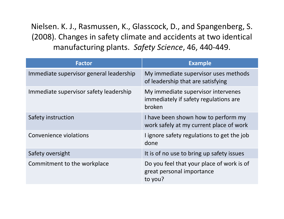Nielsen. K. J., Rasmussen, K., Glasscock, D., and Spangenberg, S. (2008). Changes in safety climate and accidents at two identical manufacturing plants. *Safety Science*, 46, 440-449.

| <b>Factor</b>                           | <b>Example</b>                                                                        |
|-----------------------------------------|---------------------------------------------------------------------------------------|
| Immediate supervisor general leadership | My immediate supervisor uses methods<br>of leadership that are satisfying             |
| Immediate supervisor safety leadership  | My immediate supervisor intervenes<br>immediately if safety regulations are<br>broken |
| Safety instruction                      | I have been shown how to perform my<br>work safely at my current place of work        |
| Convenience violations                  | I ignore safety regulations to get the job<br>done                                    |
| Safety oversight                        | It is of no use to bring up safety issues                                             |
| Commitment to the workplace             | Do you feel that your place of work is of<br>great personal importance<br>to you?     |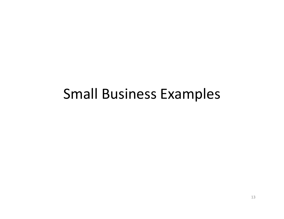#### Small Business Examples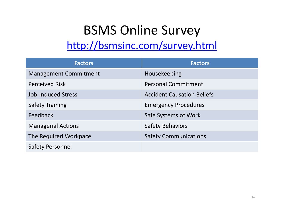## BSMS Online Survey

#### http://bsmsinc.com/survey.html

| <b>Factors</b>               | <b>Factors</b>                    |
|------------------------------|-----------------------------------|
| <b>Management Commitment</b> | Housekeeping                      |
| <b>Perceived Risk</b>        | <b>Personal Commitment</b>        |
| <b>Job-Induced Stress</b>    | <b>Accident Causation Beliefs</b> |
| <b>Safety Training</b>       | <b>Emergency Procedures</b>       |
| Feedback                     | Safe Systems of Work              |
| <b>Managerial Actions</b>    | <b>Safety Behaviors</b>           |
| The Required Workpace        | <b>Safety Communications</b>      |
| <b>Safety Personnel</b>      |                                   |